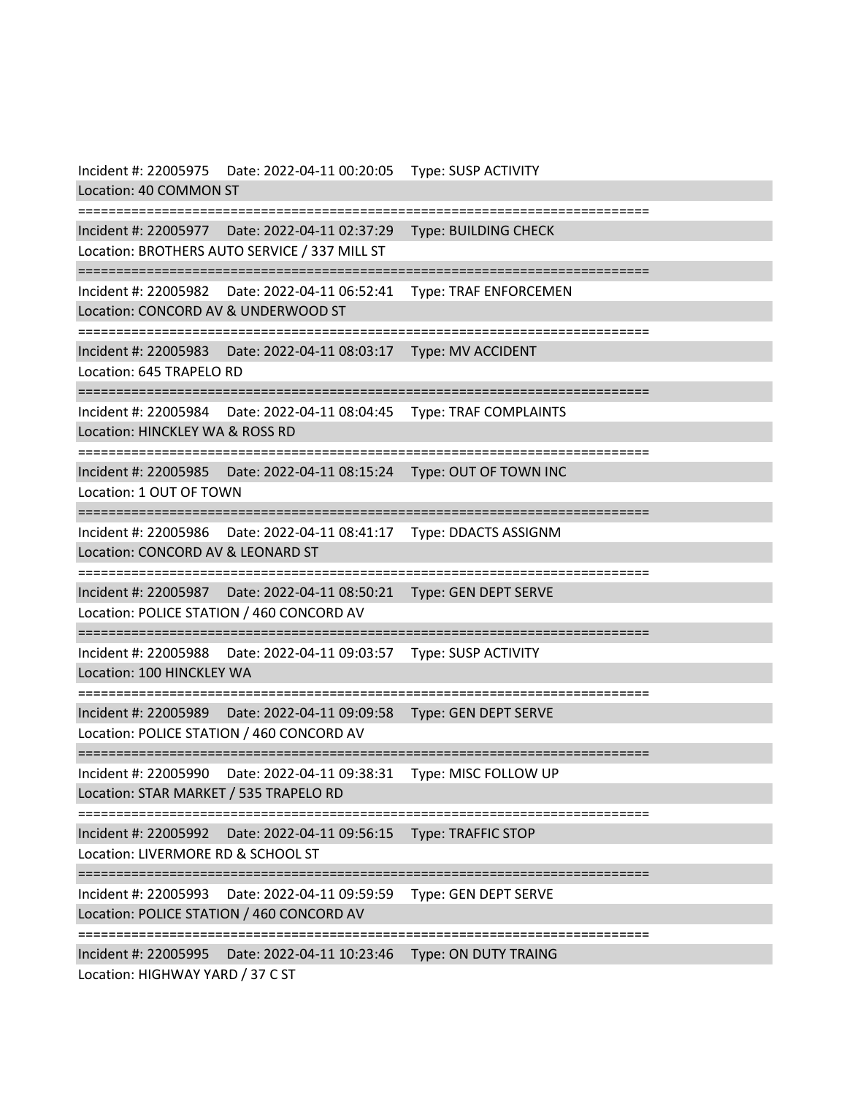Incident #: 22005975 Date: 2022-04-11 00:20:05 Type: SUSP ACTIVITY Location: 40 COMMON ST =========================================================================== Incident #: 22005977 Date: 2022-04-11 02:37:29 Type: BUILDING CHECK Location: BROTHERS AUTO SERVICE / 337 MILL ST =========================================================================== Incident #: 22005982 Date: 2022-04-11 06:52:41 Type: TRAF ENFORCEMEN Location: CONCORD AV & UNDERWOOD ST =========================================================================== Incident #: 22005983 Date: 2022-04-11 08:03:17 Type: MV ACCIDENT Location: 645 TRAPELO RD =========================================================================== Incident #: 22005984 Date: 2022-04-11 08:04:45 Type: TRAF COMPLAINTS Location: HINCKLEY WA & ROSS RD =========================================================================== Incident #: 22005985 Date: 2022-04-11 08:15:24 Type: OUT OF TOWN INC Location: 1 OUT OF TOWN =========================================================================== Incident #: 22005986 Date: 2022-04-11 08:41:17 Type: DDACTS ASSIGNM Location: CONCORD AV & LEONARD ST =========================================================================== Incident #: 22005987 Date: 2022-04-11 08:50:21 Type: GEN DEPT SERVE Location: POLICE STATION / 460 CONCORD AV =========================================================================== Incident #: 22005988 Date: 2022-04-11 09:03:57 Type: SUSP ACTIVITY Location: 100 HINCKLEY WA =========================================================================== Incident #: 22005989 Date: 2022-04-11 09:09:58 Type: GEN DEPT SERVE Location: POLICE STATION / 460 CONCORD AV =========================================================================== Incident #: 22005990 Date: 2022-04-11 09:38:31 Type: MISC FOLLOW UP Location: STAR MARKET / 535 TRAPELO RD =========================================================================== Incident #: 22005992 Date: 2022-04-11 09:56:15 Type: TRAFFIC STOP Location: LIVERMORE RD & SCHOOL ST =========================================================================== Incident #: 22005993 Date: 2022-04-11 09:59:59 Type: GEN DEPT SERVE Location: POLICE STATION / 460 CONCORD AV =========================================================================== Incident #: 22005995 Date: 2022-04-11 10:23:46 Type: ON DUTY TRAING Location: HIGHWAY YARD / 37 C ST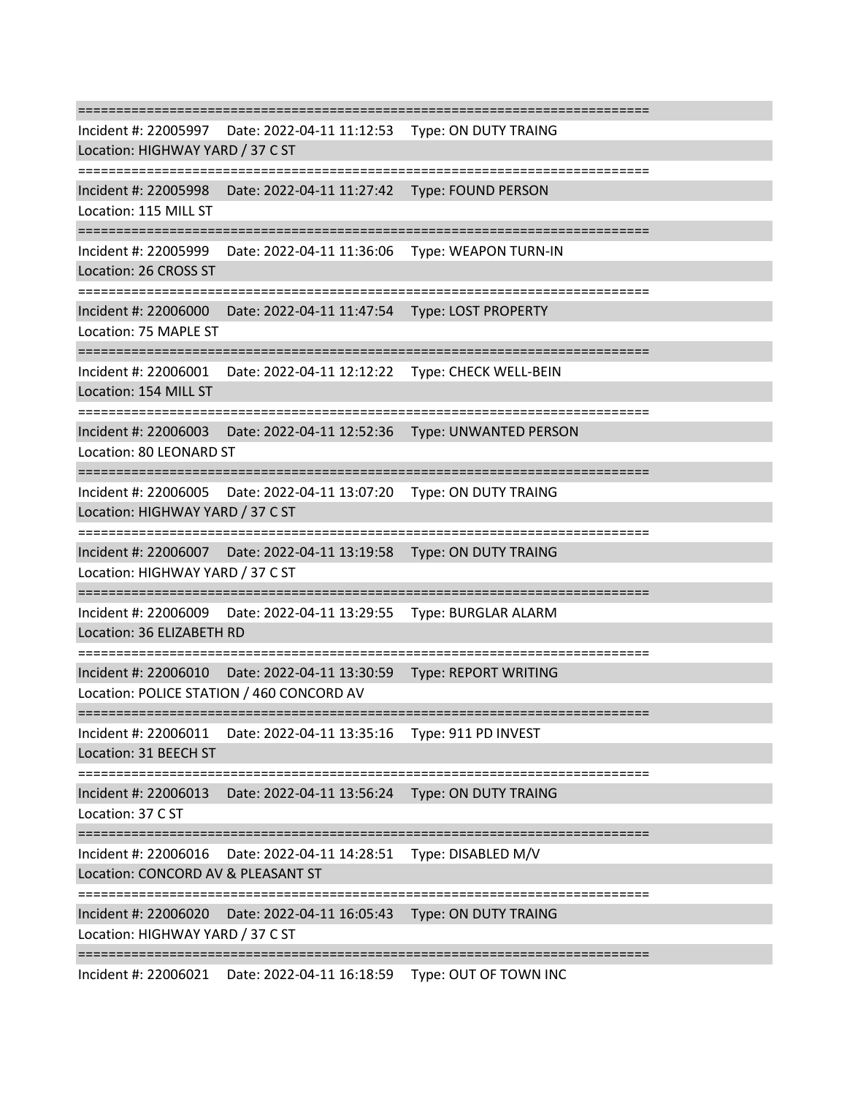=========================================================================== Incident #: 22005997 Date: 2022-04-11 11:12:53 Type: ON DUTY TRAING Location: HIGHWAY YARD / 37 C ST =========================================================================== Incident #: 22005998 Date: 2022-04-11 11:27:42 Type: FOUND PERSON Location: 115 MILL ST =========================================================================== Incident #: 22005999 Date: 2022-04-11 11:36:06 Type: WEAPON TURN-IN Location: 26 CROSS ST =========================================================================== Incident #: 22006000 Date: 2022-04-11 11:47:54 Type: LOST PROPERTY Location: 75 MAPLE ST =========================================================================== Incident #: 22006001 Date: 2022-04-11 12:12:22 Type: CHECK WELL-BEIN Location: 154 MILL ST =========================================================================== Incident #: 22006003 Date: 2022-04-11 12:52:36 Type: UNWANTED PERSON Location: 80 LEONARD ST =========================================================================== Incident #: 22006005 Date: 2022-04-11 13:07:20 Type: ON DUTY TRAING Location: HIGHWAY YARD / 37 C ST =========================================================================== Incident #: 22006007 Date: 2022-04-11 13:19:58 Type: ON DUTY TRAING Location: HIGHWAY YARD / 37 C ST =========================================================================== Incident #: 22006009 Date: 2022-04-11 13:29:55 Type: BURGLAR ALARM Location: 36 ELIZABETH RD =========================================================================== Incident #: 22006010 Date: 2022-04-11 13:30:59 Type: REPORT WRITING Location: POLICE STATION / 460 CONCORD AV =========================================================================== Incident #: 22006011 Date: 2022-04-11 13:35:16 Type: 911 PD INVEST Location: 31 BEECH ST =========================================================================== Incident #: 22006013 Date: 2022-04-11 13:56:24 Type: ON DUTY TRAING Location: 37 C ST =========================================================================== Incident #: 22006016 Date: 2022-04-11 14:28:51 Type: DISABLED M/V Location: CONCORD AV & PLEASANT ST =========================================================================== Incident #: 22006020 Date: 2022-04-11 16:05:43 Type: ON DUTY TRAING Location: HIGHWAY YARD / 37 C ST =========================================================================== Incident #: 22006021 Date: 2022-04-11 16:18:59 Type: OUT OF TOWN INC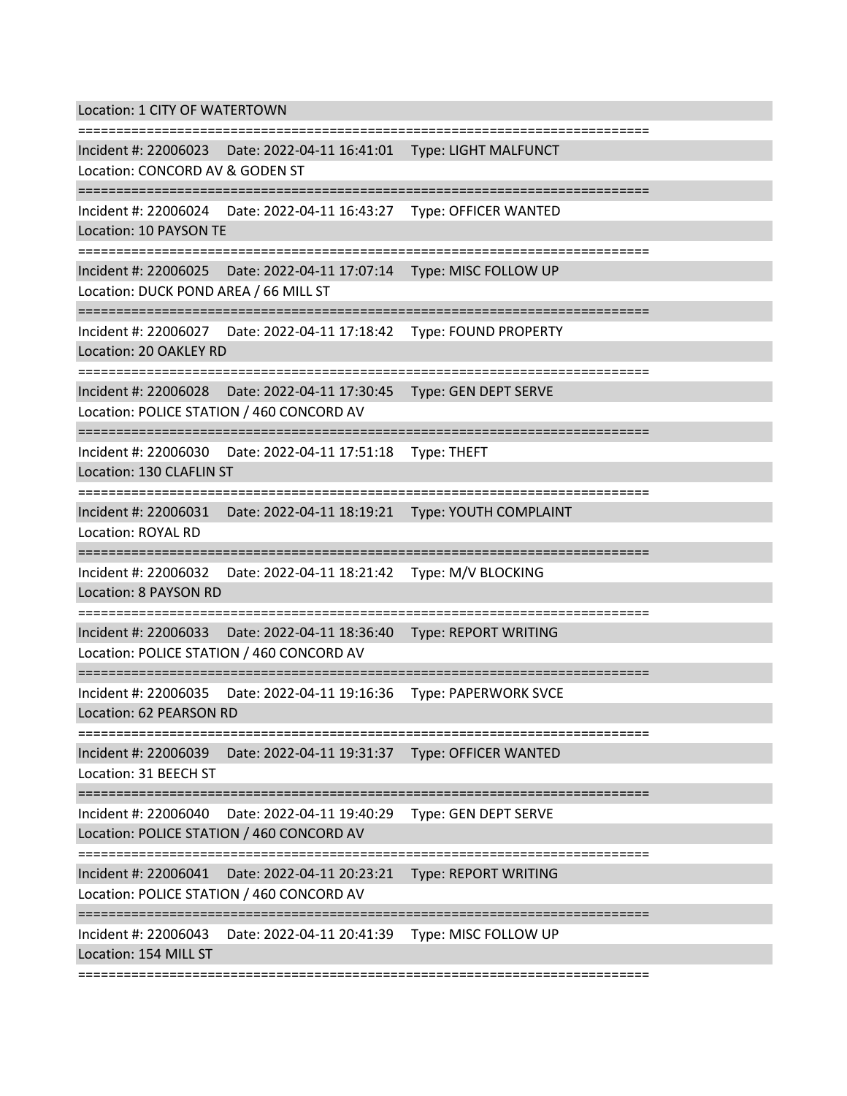Location: 1 CITY OF WATERTOWN

=========================================================================== Incident #: 22006023 Date: 2022-04-11 16:41:01 Type: LIGHT MALFUNCT Location: CONCORD AV & GODEN ST =========================================================================== Incident #: 22006024 Date: 2022-04-11 16:43:27 Type: OFFICER WANTED Location: 10 PAYSON TE =========================================================================== Incident #: 22006025 Date: 2022-04-11 17:07:14 Type: MISC FOLLOW UP Location: DUCK POND AREA / 66 MILL ST =========================================================================== Incident #: 22006027 Date: 2022-04-11 17:18:42 Type: FOUND PROPERTY Location: 20 OAKLEY RD =========================================================================== Incident #: 22006028 Date: 2022-04-11 17:30:45 Type: GEN DEPT SERVE Location: POLICE STATION / 460 CONCORD AV =========================================================================== Incident #: 22006030 Date: 2022-04-11 17:51:18 Type: THEFT Location: 130 CLAFLIN ST =========================================================================== Incident #: 22006031 Date: 2022-04-11 18:19:21 Type: YOUTH COMPLAINT Location: ROYAL RD =========================================================================== Incident #: 22006032 Date: 2022-04-11 18:21:42 Type: M/V BLOCKING Location: 8 PAYSON RD =========================================================================== Incident #: 22006033 Date: 2022-04-11 18:36:40 Type: REPORT WRITING Location: POLICE STATION / 460 CONCORD AV =========================================================================== Incident #: 22006035 Date: 2022-04-11 19:16:36 Type: PAPERWORK SVCE Location: 62 PEARSON RD =========================== Incident #: 22006039 Date: 2022-04-11 19:31:37 Type: OFFICER WANTED Location: 31 BEECH ST =========================================================================== Incident #: 22006040 Date: 2022-04-11 19:40:29 Type: GEN DEPT SERVE Location: POLICE STATION / 460 CONCORD AV =========================================================================== Incident #: 22006041 Date: 2022-04-11 20:23:21 Type: REPORT WRITING Location: POLICE STATION / 460 CONCORD AV =========================================================================== Incident #: 22006043 Date: 2022-04-11 20:41:39 Type: MISC FOLLOW UP Location: 154 MILL ST ===========================================================================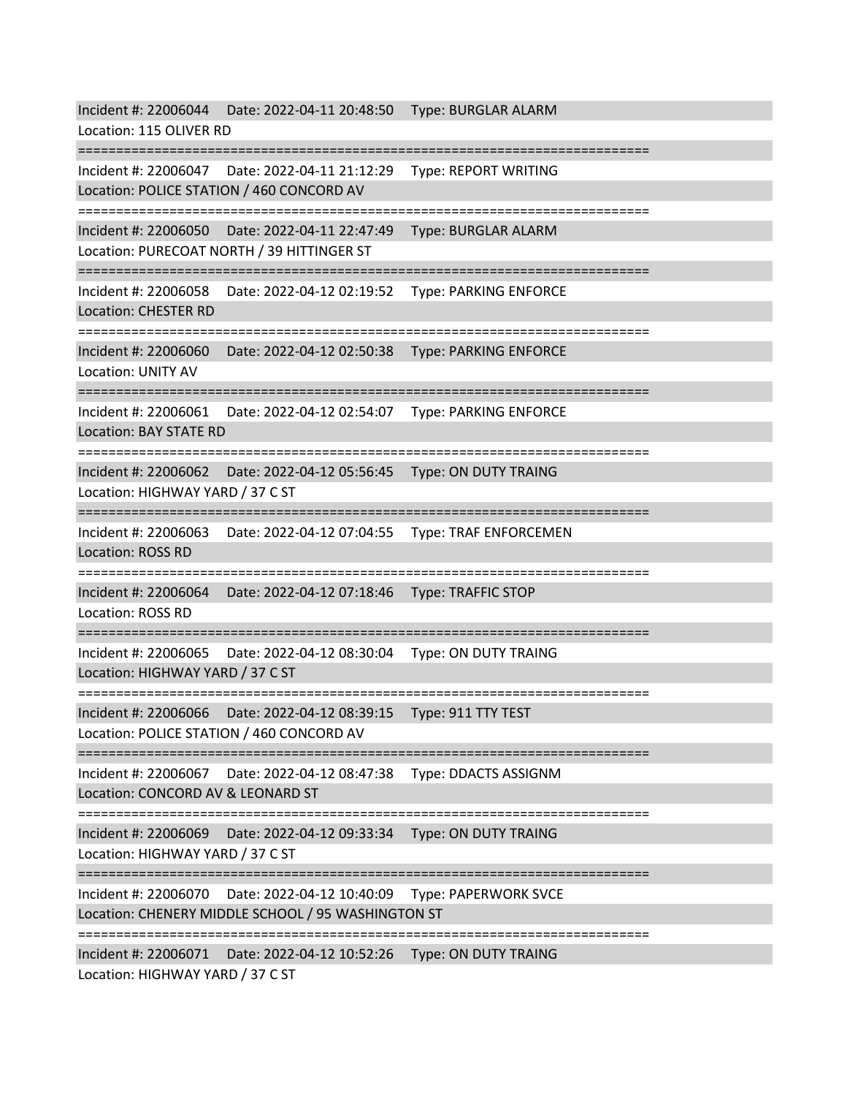Incident #: 22006044 Date: 2022-04-11 20:48:50 Type: BURGLAR ALARM Location: 115 OLIVER RD =========================================================================== Incident #: 22006047 Date: 2022-04-11 21:12:29 Type: REPORT WRITING Location: POLICE STATION / 460 CONCORD AV =========================================================================== Incident #: 22006050 Date: 2022-04-11 22:47:49 Type: BURGLAR ALARM Location: PURECOAT NORTH / 39 HITTINGER ST =========================================================================== Incident #: 22006058 Date: 2022-04-12 02:19:52 Type: PARKING ENFORCE Location: CHESTER RD =========================================================================== Incident #: 22006060 Date: 2022-04-12 02:50:38 Type: PARKING ENFORCE Location: UNITY AV =========================================================================== Incident #: 22006061 Date: 2022-04-12 02:54:07 Type: PARKING ENFORCE Location: BAY STATE RD =========================================================================== Incident #: 22006062 Date: 2022-04-12 05:56:45 Type: ON DUTY TRAING Location: HIGHWAY YARD / 37 C ST =========================================================================== Incident #: 22006063 Date: 2022-04-12 07:04:55 Type: TRAF ENFORCEMEN Location: ROSS RD =========================================================================== Incident #: 22006064 Date: 2022-04-12 07:18:46 Type: TRAFFIC STOP Location: ROSS RD =========================================================================== Incident #: 22006065 Date: 2022-04-12 08:30:04 Type: ON DUTY TRAING Location: HIGHWAY YARD / 37 C ST =========================================================================== Incident #: 22006066 Date: 2022-04-12 08:39:15 Type: 911 TTY TEST Location: POLICE STATION / 460 CONCORD AV =========================================================================== Incident #: 22006067 Date: 2022-04-12 08:47:38 Type: DDACTS ASSIGNM Location: CONCORD AV & LEONARD ST =========================================================================== Incident #: 22006069 Date: 2022-04-12 09:33:34 Type: ON DUTY TRAING Location: HIGHWAY YARD / 37 C ST =========================================================================== Incident #: 22006070 Date: 2022-04-12 10:40:09 Type: PAPERWORK SVCE Location: CHENERY MIDDLE SCHOOL / 95 WASHINGTON ST =========================================================================== Incident #: 22006071 Date: 2022-04-12 10:52:26 Type: ON DUTY TRAING Location: HIGHWAY YARD / 37 C ST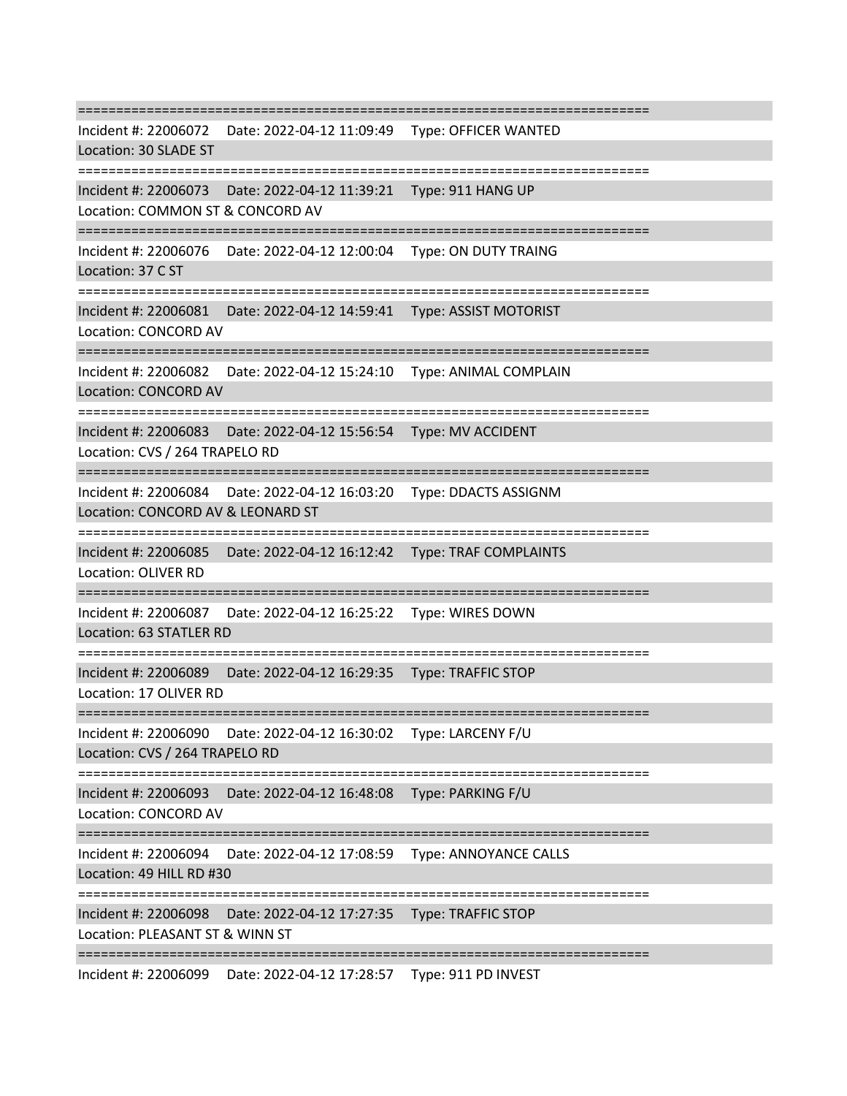=========================================================================== Incident #: 22006072 Date: 2022-04-12 11:09:49 Type: OFFICER WANTED Location: 30 SLADE ST =========================================================================== Incident #: 22006073 Date: 2022-04-12 11:39:21 Type: 911 HANG UP Location: COMMON ST & CONCORD AV =========================================================================== Incident #: 22006076 Date: 2022-04-12 12:00:04 Type: ON DUTY TRAING Location: 37 C ST =========================================================================== Incident #: 22006081 Date: 2022-04-12 14:59:41 Type: ASSIST MOTORIST Location: CONCORD AV =========================================================================== Incident #: 22006082 Date: 2022-04-12 15:24:10 Type: ANIMAL COMPLAIN Location: CONCORD AV =========================================================================== Incident #: 22006083 Date: 2022-04-12 15:56:54 Type: MV ACCIDENT Location: CVS / 264 TRAPELO RD =========================================================================== Incident #: 22006084 Date: 2022-04-12 16:03:20 Type: DDACTS ASSIGNM Location: CONCORD AV & LEONARD ST =========================================================================== Incident #: 22006085 Date: 2022-04-12 16:12:42 Type: TRAF COMPLAINTS Location: OLIVER RD =========================================================================== Incident #: 22006087 Date: 2022-04-12 16:25:22 Type: WIRES DOWN Location: 63 STATLER RD =========================================================================== Incident #: 22006089 Date: 2022-04-12 16:29:35 Type: TRAFFIC STOP Location: 17 OLIVER RD =========================================================================== Incident #: 22006090 Date: 2022-04-12 16:30:02 Type: LARCENY F/U Location: CVS / 264 TRAPELO RD =========================================================================== Incident #: 22006093 Date: 2022-04-12 16:48:08 Type: PARKING F/U Location: CONCORD AV =========================================================================== Incident #: 22006094 Date: 2022-04-12 17:08:59 Type: ANNOYANCE CALLS Location: 49 HILL RD #30 =========================================================================== Incident #: 22006098 Date: 2022-04-12 17:27:35 Type: TRAFFIC STOP Location: PLEASANT ST & WINN ST ===========================================================================

Incident #: 22006099 Date: 2022-04-12 17:28:57 Type: 911 PD INVEST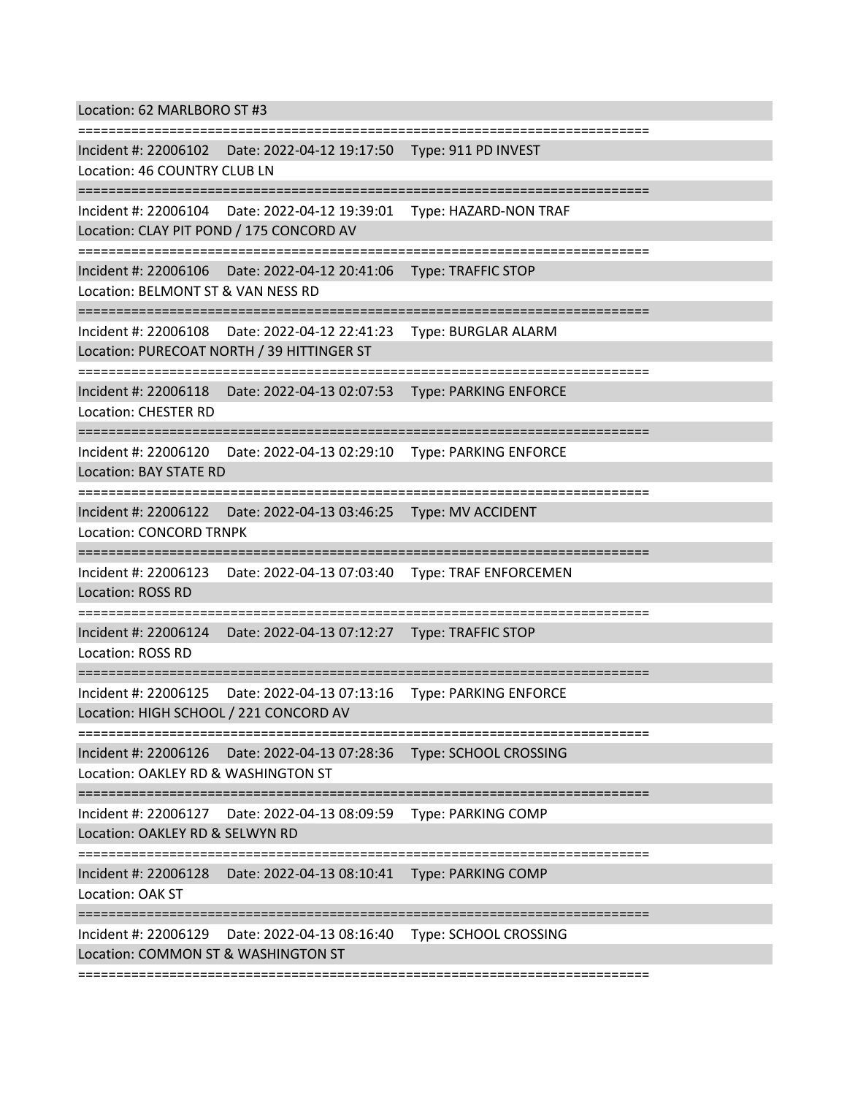Location: 62 MARLBORO ST #3

=========================================================================== Incident #: 22006102 Date: 2022-04-12 19:17:50 Type: 911 PD INVEST Location: 46 COUNTRY CLUB LN =========================================================================== Incident #: 22006104 Date: 2022-04-12 19:39:01 Type: HAZARD-NON TRAF Location: CLAY PIT POND / 175 CONCORD AV =========================================================================== Incident #: 22006106 Date: 2022-04-12 20:41:06 Type: TRAFFIC STOP Location: BELMONT ST & VAN NESS RD =========================================================================== Incident #: 22006108 Date: 2022-04-12 22:41:23 Type: BURGLAR ALARM Location: PURECOAT NORTH / 39 HITTINGER ST =========================================================================== Incident #: 22006118 Date: 2022-04-13 02:07:53 Type: PARKING ENFORCE Location: CHESTER RD =========================================================================== Incident #: 22006120 Date: 2022-04-13 02:29:10 Type: PARKING ENFORCE Location: BAY STATE RD =========================================================================== Incident #: 22006122 Date: 2022-04-13 03:46:25 Type: MV ACCIDENT Location: CONCORD TRNPK =========================================================================== Incident #: 22006123 Date: 2022-04-13 07:03:40 Type: TRAF ENFORCEMEN Location: ROSS RD ========================== Incident #: 22006124 Date: 2022-04-13 07:12:27 Type: TRAFFIC STOP Location: ROSS RD =========================================================================== Incident #: 22006125 Date: 2022-04-13 07:13:16 Type: PARKING ENFORCE Location: HIGH SCHOOL / 221 CONCORD AV =========================================================================== Incident #: 22006126 Date: 2022-04-13 07:28:36 Type: SCHOOL CROSSING Location: OAKLEY RD & WASHINGTON ST =========================================================================== Incident #: 22006127 Date: 2022-04-13 08:09:59 Type: PARKING COMP Location: OAKLEY RD & SELWYN RD =========================================================================== Incident #: 22006128 Date: 2022-04-13 08:10:41 Type: PARKING COMP Location: OAK ST =========================================================================== Incident #: 22006129 Date: 2022-04-13 08:16:40 Type: SCHOOL CROSSING Location: COMMON ST & WASHINGTON ST

===========================================================================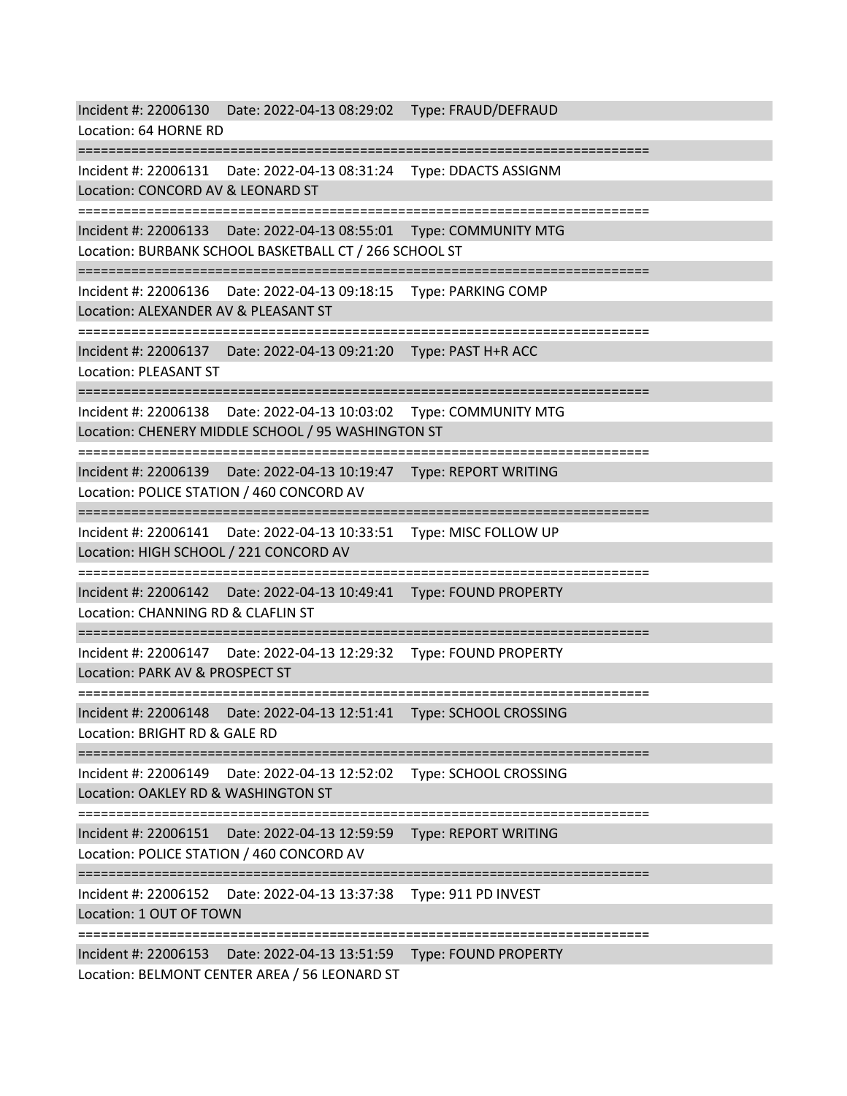Incident #: 22006130 Date: 2022-04-13 08:29:02 Type: FRAUD/DEFRAUD Location: 64 HORNE RD =========================================================================== Incident #: 22006131 Date: 2022-04-13 08:31:24 Type: DDACTS ASSIGNM Location: CONCORD AV & LEONARD ST =========================================================================== Incident #: 22006133 Date: 2022-04-13 08:55:01 Type: COMMUNITY MTG Location: BURBANK SCHOOL BASKETBALL CT / 266 SCHOOL ST =========================================================================== Incident #: 22006136 Date: 2022-04-13 09:18:15 Type: PARKING COMP Location: ALEXANDER AV & PLEASANT ST =========================================================================== Incident #: 22006137 Date: 2022-04-13 09:21:20 Type: PAST H+R ACC Location: PLEASANT ST =========================================================================== Incident #: 22006138 Date: 2022-04-13 10:03:02 Type: COMMUNITY MTG Location: CHENERY MIDDLE SCHOOL / 95 WASHINGTON ST =========================================================================== Incident #: 22006139 Date: 2022-04-13 10:19:47 Type: REPORT WRITING Location: POLICE STATION / 460 CONCORD AV =========================================================================== Incident #: 22006141 Date: 2022-04-13 10:33:51 Type: MISC FOLLOW UP Location: HIGH SCHOOL / 221 CONCORD AV =========================================================================== Incident #: 22006142 Date: 2022-04-13 10:49:41 Type: FOUND PROPERTY Location: CHANNING RD & CLAFLIN ST =========================================================================== Incident #: 22006147 Date: 2022-04-13 12:29:32 Type: FOUND PROPERTY Location: PARK AV & PROSPECT ST =========================================================================== Incident #: 22006148 Date: 2022-04-13 12:51:41 Type: SCHOOL CROSSING Location: BRIGHT RD & GALE RD =========================================================================== Incident #: 22006149 Date: 2022-04-13 12:52:02 Type: SCHOOL CROSSING Location: OAKLEY RD & WASHINGTON ST =========================================================================== Incident #: 22006151 Date: 2022-04-13 12:59:59 Type: REPORT WRITING Location: POLICE STATION / 460 CONCORD AV =========================================================================== Incident #: 22006152 Date: 2022-04-13 13:37:38 Type: 911 PD INVEST Location: 1 OUT OF TOWN =========================================================================== Incident #: 22006153 Date: 2022-04-13 13:51:59 Type: FOUND PROPERTY Location: BELMONT CENTER AREA / 56 LEONARD ST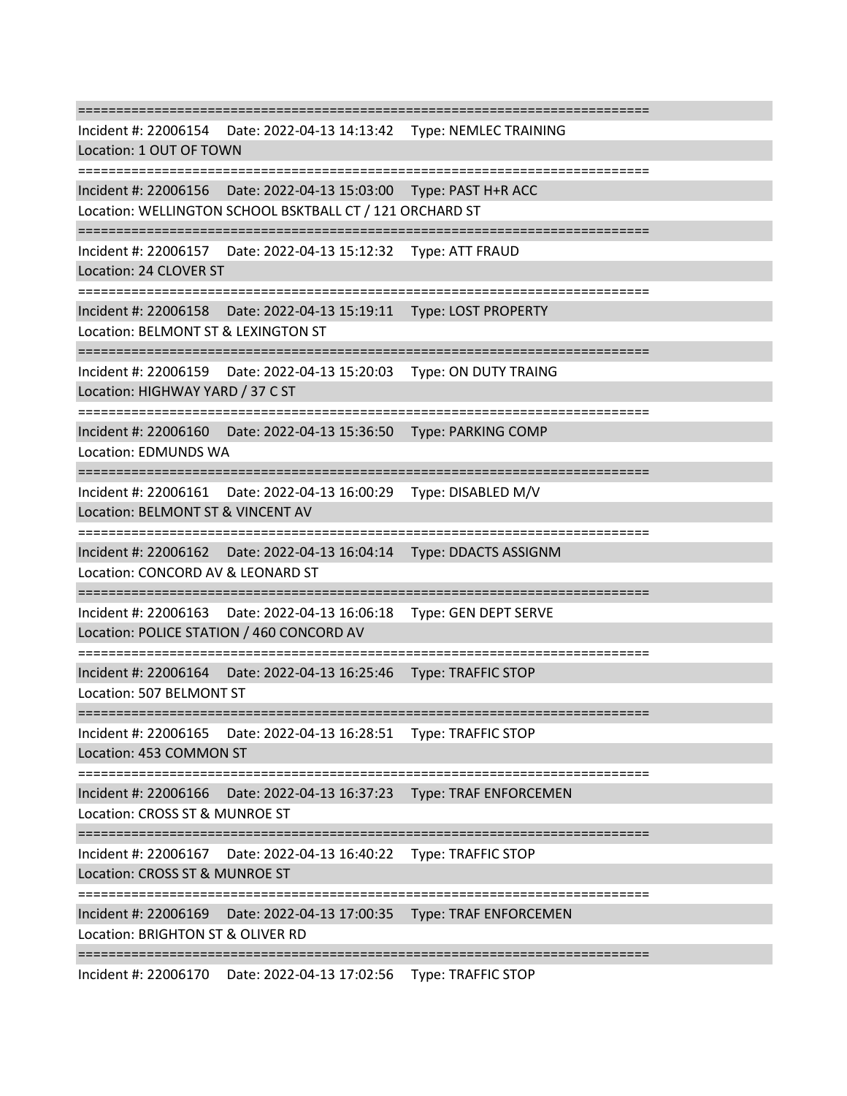=========================================================================== Incident #: 22006154 Date: 2022-04-13 14:13:42 Type: NEMLEC TRAINING Location: 1 OUT OF TOWN =========================================================================== Incident #: 22006156 Date: 2022-04-13 15:03:00 Type: PAST H+R ACC Location: WELLINGTON SCHOOL BSKTBALL CT / 121 ORCHARD ST =========================================================================== Incident #: 22006157 Date: 2022-04-13 15:12:32 Type: ATT FRAUD Location: 24 CLOVER ST =========================================================================== Incident #: 22006158 Date: 2022-04-13 15:19:11 Type: LOST PROPERTY Location: BELMONT ST & LEXINGTON ST =========================================================================== Incident #: 22006159 Date: 2022-04-13 15:20:03 Type: ON DUTY TRAING Location: HIGHWAY YARD / 37 C ST =========================================================================== Incident #: 22006160 Date: 2022-04-13 15:36:50 Type: PARKING COMP Location: EDMUNDS WA =========================================================================== Incident #: 22006161 Date: 2022-04-13 16:00:29 Type: DISABLED M/V Location: BELMONT ST & VINCENT AV =========================================================================== Incident #: 22006162 Date: 2022-04-13 16:04:14 Type: DDACTS ASSIGNM Location: CONCORD AV & LEONARD ST =========================================================================== Incident #: 22006163 Date: 2022-04-13 16:06:18 Type: GEN DEPT SERVE Location: POLICE STATION / 460 CONCORD AV =========================================================================== Incident #: 22006164 Date: 2022-04-13 16:25:46 Type: TRAFFIC STOP Location: 507 BELMONT ST =========================================================================== Incident #: 22006165 Date: 2022-04-13 16:28:51 Type: TRAFFIC STOP Location: 453 COMMON ST =========================================================================== Incident #: 22006166 Date: 2022-04-13 16:37:23 Type: TRAF ENFORCEMEN Location: CROSS ST & MUNROE ST =========================================================================== Incident #: 22006167 Date: 2022-04-13 16:40:22 Type: TRAFFIC STOP Location: CROSS ST & MUNROE ST =========================================================================== Incident #: 22006169 Date: 2022-04-13 17:00:35 Type: TRAF ENFORCEMEN Location: BRIGHTON ST & OLIVER RD ===========================================================================

Incident #: 22006170 Date: 2022-04-13 17:02:56 Type: TRAFFIC STOP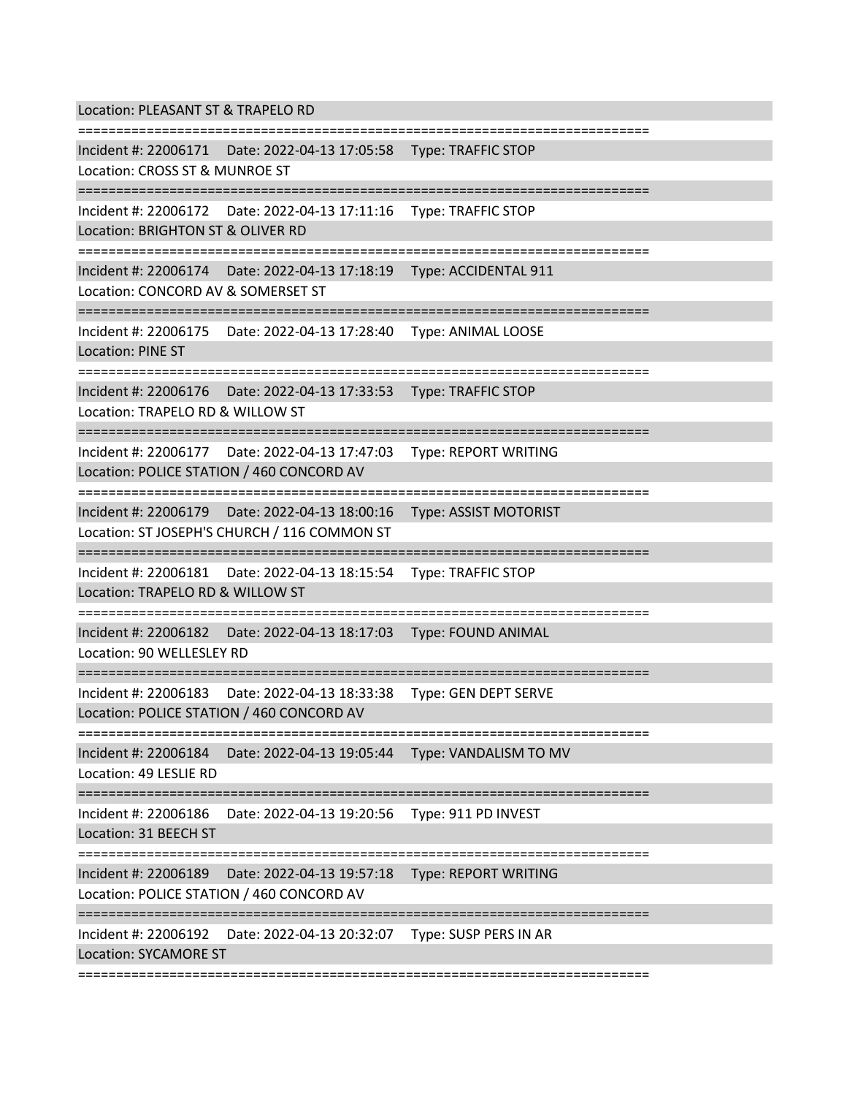Location: PLEASANT ST & TRAPELO RD

=========================================================================== Incident #: 22006171 Date: 2022-04-13 17:05:58 Type: TRAFFIC STOP Location: CROSS ST & MUNROE ST =========================================================================== Incident #: 22006172 Date: 2022-04-13 17:11:16 Type: TRAFFIC STOP Location: BRIGHTON ST & OLIVER RD =========================================================================== Incident #: 22006174 Date: 2022-04-13 17:18:19 Type: ACCIDENTAL 911 Location: CONCORD AV & SOMERSET ST =========================================================================== Incident #: 22006175 Date: 2022-04-13 17:28:40 Type: ANIMAL LOOSE Location: PINE ST =========================================================================== Incident #: 22006176 Date: 2022-04-13 17:33:53 Type: TRAFFIC STOP Location: TRAPELO RD & WILLOW ST =========================================================================== Incident #: 22006177 Date: 2022-04-13 17:47:03 Type: REPORT WRITING Location: POLICE STATION / 460 CONCORD AV =========================================================================== Incident #: 22006179 Date: 2022-04-13 18:00:16 Type: ASSIST MOTORIST Location: ST JOSEPH'S CHURCH / 116 COMMON ST =========================================================================== Incident #: 22006181 Date: 2022-04-13 18:15:54 Type: TRAFFIC STOP Location: TRAPELO RD & WILLOW ST =========================================================================== Incident #: 22006182 Date: 2022-04-13 18:17:03 Type: FOUND ANIMAL Location: 90 WELLESLEY RD =========================================================================== Incident #: 22006183 Date: 2022-04-13 18:33:38 Type: GEN DEPT SERVE Location: POLICE STATION / 460 CONCORD AV =========================================================================== Incident #: 22006184 Date: 2022-04-13 19:05:44 Type: VANDALISM TO MV Location: 49 LESLIE RD =========================================================================== Incident #: 22006186 Date: 2022-04-13 19:20:56 Type: 911 PD INVEST Location: 31 BEECH ST =========================================================================== Incident #: 22006189 Date: 2022-04-13 19:57:18 Type: REPORT WRITING Location: POLICE STATION / 460 CONCORD AV =========================================================================== Incident #: 22006192 Date: 2022-04-13 20:32:07 Type: SUSP PERS IN AR Location: SYCAMORE ST ===========================================================================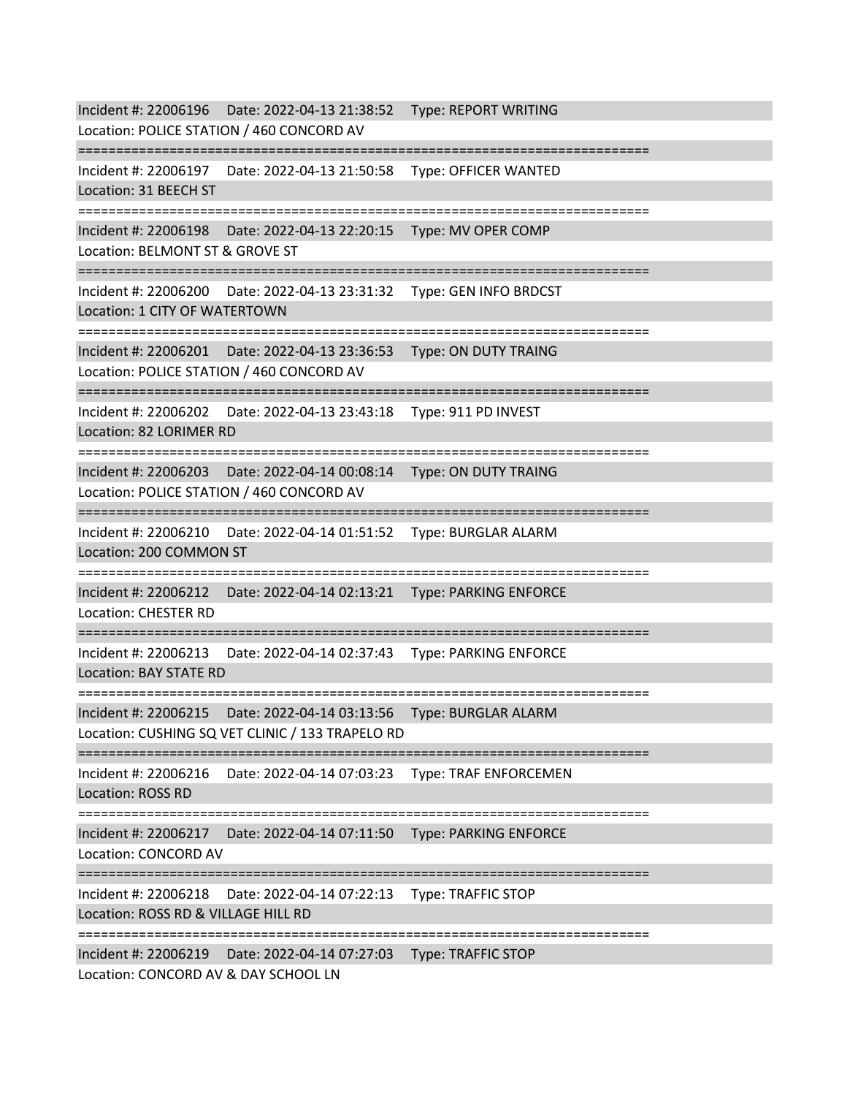Incident #: 22006196 Date: 2022-04-13 21:38:52 Type: REPORT WRITING Location: POLICE STATION / 460 CONCORD AV =========================================================================== Incident #: 22006197 Date: 2022-04-13 21:50:58 Type: OFFICER WANTED Location: 31 BEECH ST =========================================================================== Incident #: 22006198 Date: 2022-04-13 22:20:15 Type: MV OPER COMP Location: BELMONT ST & GROVE ST =========================================================================== Incident #: 22006200 Date: 2022-04-13 23:31:32 Type: GEN INFO BRDCST Location: 1 CITY OF WATERTOWN =========================================================================== Incident #: 22006201 Date: 2022-04-13 23:36:53 Type: ON DUTY TRAING Location: POLICE STATION / 460 CONCORD AV =========================================================================== Incident #: 22006202 Date: 2022-04-13 23:43:18 Type: 911 PD INVEST Location: 82 LORIMER RD =========================================================================== Incident #: 22006203 Date: 2022-04-14 00:08:14 Type: ON DUTY TRAING Location: POLICE STATION / 460 CONCORD AV =========================================================================== Incident #: 22006210 Date: 2022-04-14 01:51:52 Type: BURGLAR ALARM Location: 200 COMMON ST =========================================================================== Incident #: 22006212 Date: 2022-04-14 02:13:21 Type: PARKING ENFORCE Location: CHESTER RD =========================================================================== Incident #: 22006213 Date: 2022-04-14 02:37:43 Type: PARKING ENFORCE Location: BAY STATE RD =========================================================================== Incident #: 22006215 Date: 2022-04-14 03:13:56 Type: BURGLAR ALARM Location: CUSHING SQ VET CLINIC / 133 TRAPELO RD =========================================================================== Incident #: 22006216 Date: 2022-04-14 07:03:23 Type: TRAF ENFORCEMEN Location: ROSS RD =========================================================================== Incident #: 22006217 Date: 2022-04-14 07:11:50 Type: PARKING ENFORCE Location: CONCORD AV =========================================================================== Incident #: 22006218 Date: 2022-04-14 07:22:13 Type: TRAFFIC STOP Location: ROSS RD & VILLAGE HILL RD =========================================================================== Incident #: 22006219 Date: 2022-04-14 07:27:03 Type: TRAFFIC STOP Location: CONCORD AV & DAY SCHOOL LN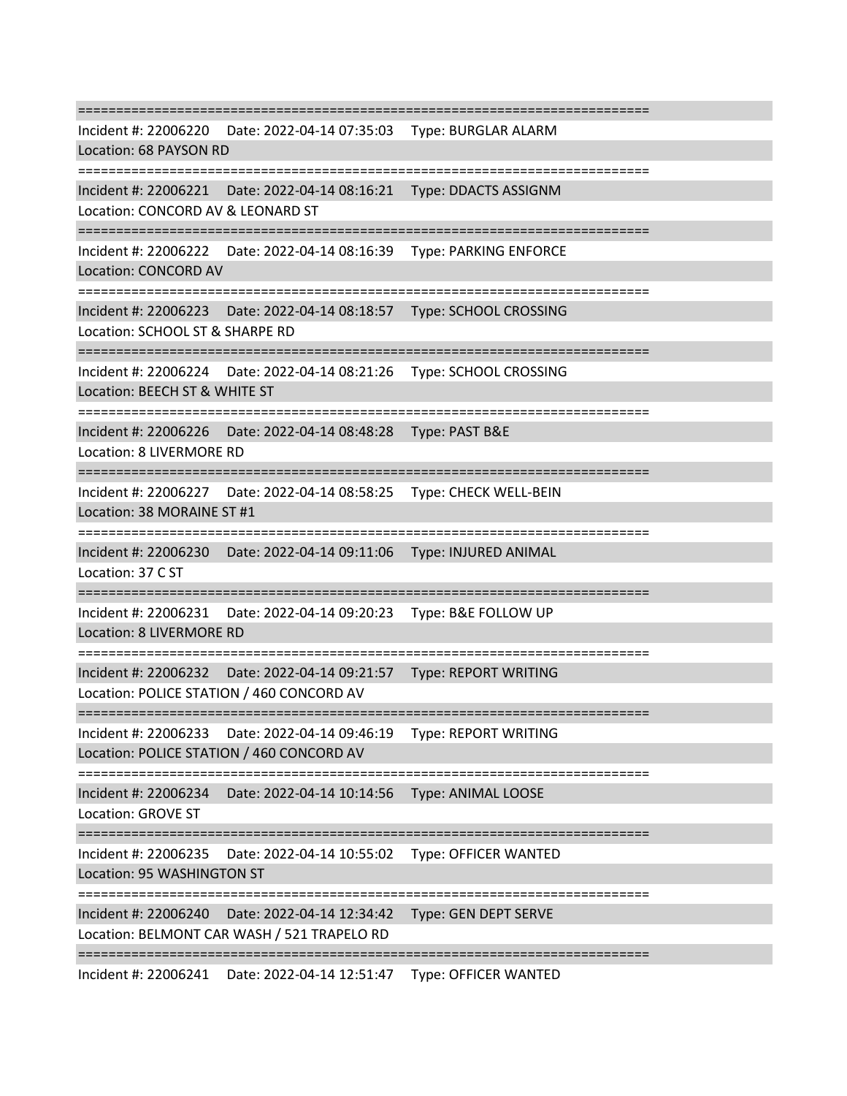=========================================================================== Incident #: 22006220 Date: 2022-04-14 07:35:03 Type: BURGLAR ALARM Location: 68 PAYSON RD =========================================================================== Incident #: 22006221 Date: 2022-04-14 08:16:21 Type: DDACTS ASSIGNM Location: CONCORD AV & LEONARD ST =========================================================================== Incident #: 22006222 Date: 2022-04-14 08:16:39 Type: PARKING ENFORCE Location: CONCORD AV =========================================================================== Incident #: 22006223 Date: 2022-04-14 08:18:57 Type: SCHOOL CROSSING Location: SCHOOL ST & SHARPE RD =========================================================================== Incident #: 22006224 Date: 2022-04-14 08:21:26 Type: SCHOOL CROSSING Location: BEECH ST & WHITE ST =========================================================================== Incident #: 22006226 Date: 2022-04-14 08:48:28 Type: PAST B&E Location: 8 LIVERMORE RD =========================================================================== Incident #: 22006227 Date: 2022-04-14 08:58:25 Type: CHECK WELL-BEIN Location: 38 MORAINE ST #1 ====================================== Incident #: 22006230 Date: 2022-04-14 09:11:06 Type: INJURED ANIMAL Location: 37 C ST =========================================================================== Incident #: 22006231 Date: 2022-04-14 09:20:23 Type: B&E FOLLOW UP Location: 8 LIVERMORE RD =========================================================================== Incident #: 22006232 Date: 2022-04-14 09:21:57 Type: REPORT WRITING Location: POLICE STATION / 460 CONCORD AV =========================================================================== Incident #: 22006233 Date: 2022-04-14 09:46:19 Type: REPORT WRITING Location: POLICE STATION / 460 CONCORD AV =========================================================================== Incident #: 22006234 Date: 2022-04-14 10:14:56 Type: ANIMAL LOOSE Location: GROVE ST =========================================================================== Incident #: 22006235 Date: 2022-04-14 10:55:02 Type: OFFICER WANTED Location: 95 WASHINGTON ST =========================================================================== Incident #: 22006240 Date: 2022-04-14 12:34:42 Type: GEN DEPT SERVE Location: BELMONT CAR WASH / 521 TRAPELO RD ===========================================================================

Incident #: 22006241 Date: 2022-04-14 12:51:47 Type: OFFICER WANTED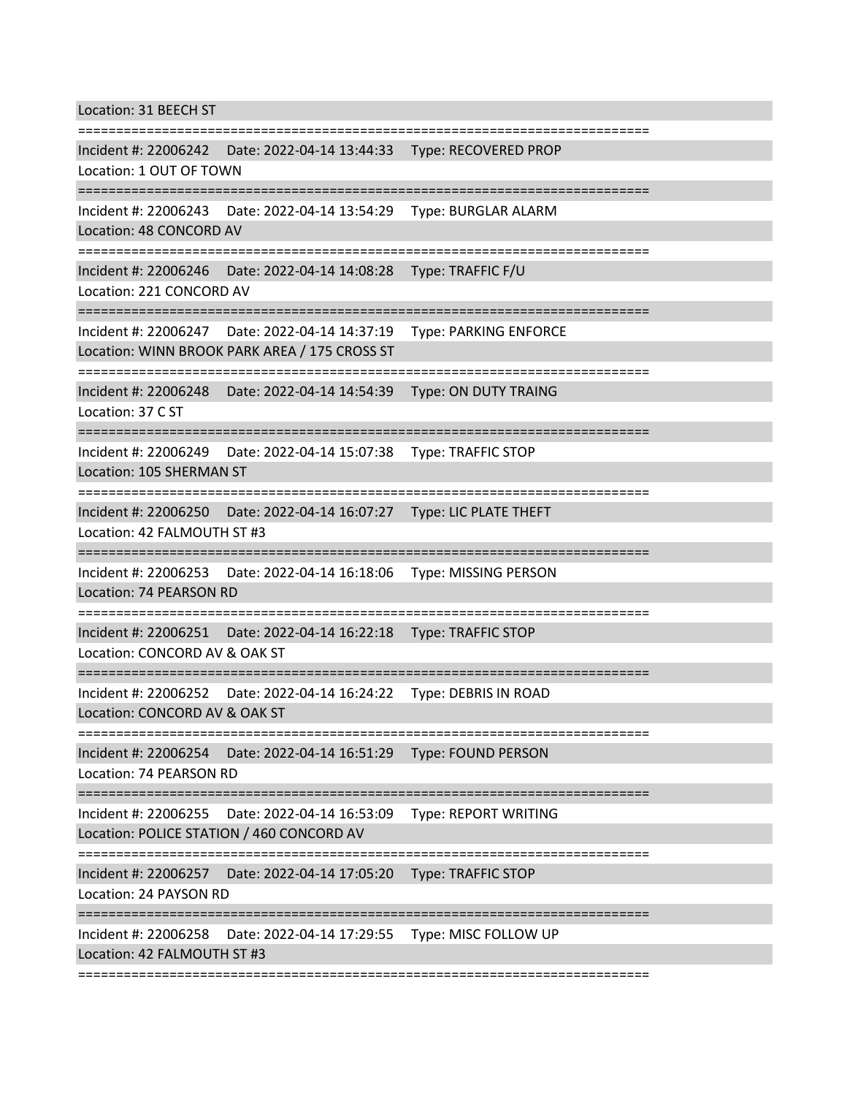Location: 31 BEECH ST

=========================================================================== Incident #: 22006242 Date: 2022-04-14 13:44:33 Type: RECOVERED PROP Location: 1 OUT OF TOWN =========================================================================== Incident #: 22006243 Date: 2022-04-14 13:54:29 Type: BURGLAR ALARM Location: 48 CONCORD AV =========================================================================== Incident #: 22006246 Date: 2022-04-14 14:08:28 Type: TRAFFIC F/U Location: 221 CONCORD AV =========================================================================== Incident #: 22006247 Date: 2022-04-14 14:37:19 Type: PARKING ENFORCE Location: WINN BROOK PARK AREA / 175 CROSS ST =========================================================================== Incident #: 22006248 Date: 2022-04-14 14:54:39 Type: ON DUTY TRAING Location: 37 C ST =========================================================================== Incident #: 22006249 Date: 2022-04-14 15:07:38 Type: TRAFFIC STOP Location: 105 SHERMAN ST =========================================================================== Incident #: 22006250 Date: 2022-04-14 16:07:27 Type: LIC PLATE THEFT Location: 42 FALMOUTH ST #3 =========================================================================== Incident #: 22006253 Date: 2022-04-14 16:18:06 Type: MISSING PERSON Location: 74 PEARSON RD =========================================================================== Incident #: 22006251 Date: 2022-04-14 16:22:18 Type: TRAFFIC STOP Location: CONCORD AV & OAK ST =========================================================================== Incident #: 22006252 Date: 2022-04-14 16:24:22 Type: DEBRIS IN ROAD Location: CONCORD AV & OAK ST =========================================================================== Incident #: 22006254 Date: 2022-04-14 16:51:29 Type: FOUND PERSON Location: 74 PEARSON RD =========================================================================== Incident #: 22006255 Date: 2022-04-14 16:53:09 Type: REPORT WRITING Location: POLICE STATION / 460 CONCORD AV =========================================================================== Incident #: 22006257 Date: 2022-04-14 17:05:20 Type: TRAFFIC STOP Location: 24 PAYSON RD =========================================================================== Incident #: 22006258 Date: 2022-04-14 17:29:55 Type: MISC FOLLOW UP Location: 42 FALMOUTH ST #3

===========================================================================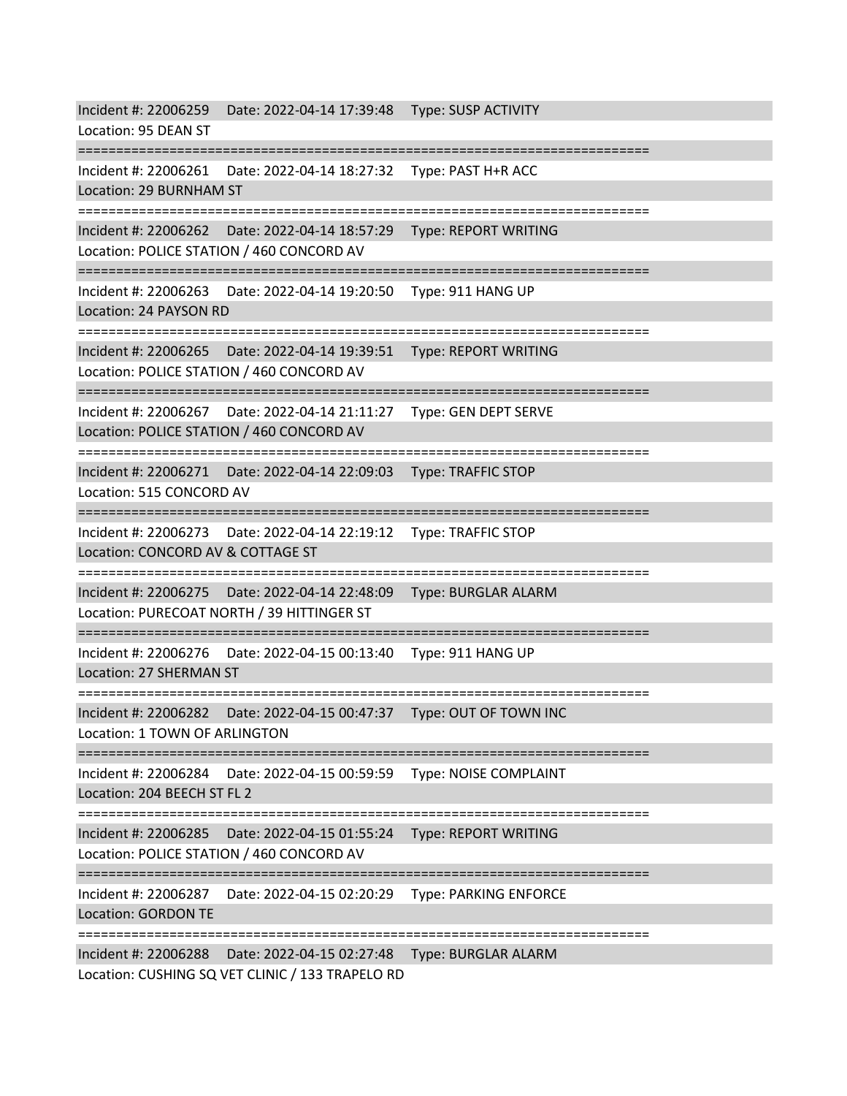Incident #: 22006259 Date: 2022-04-14 17:39:48 Type: SUSP ACTIVITY Location: 95 DEAN ST =========================================================================== Incident #: 22006261 Date: 2022-04-14 18:27:32 Type: PAST H+R ACC Location: 29 BURNHAM ST =========================================================================== Incident #: 22006262 Date: 2022-04-14 18:57:29 Type: REPORT WRITING Location: POLICE STATION / 460 CONCORD AV =========================================================================== Incident #: 22006263 Date: 2022-04-14 19:20:50 Type: 911 HANG UP Location: 24 PAYSON RD =========================================================================== Incident #: 22006265 Date: 2022-04-14 19:39:51 Type: REPORT WRITING Location: POLICE STATION / 460 CONCORD AV =========================================================================== Incident #: 22006267 Date: 2022-04-14 21:11:27 Type: GEN DEPT SERVE Location: POLICE STATION / 460 CONCORD AV =========================================================================== Incident #: 22006271 Date: 2022-04-14 22:09:03 Type: TRAFFIC STOP Location: 515 CONCORD AV =========================================================================== Incident #: 22006273 Date: 2022-04-14 22:19:12 Type: TRAFFIC STOP Location: CONCORD AV & COTTAGE ST =========================================================================== Incident #: 22006275 Date: 2022-04-14 22:48:09 Type: BURGLAR ALARM Location: PURECOAT NORTH / 39 HITTINGER ST =========================================================================== Incident #: 22006276 Date: 2022-04-15 00:13:40 Type: 911 HANG UP Location: 27 SHERMAN ST =========================================================================== Incident #: 22006282 Date: 2022-04-15 00:47:37 Type: OUT OF TOWN INC Location: 1 TOWN OF ARLINGTON =========================================================================== Incident #: 22006284 Date: 2022-04-15 00:59:59 Type: NOISE COMPLAINT Location: 204 BEECH ST FL 2 =========================================================================== Incident #: 22006285 Date: 2022-04-15 01:55:24 Type: REPORT WRITING Location: POLICE STATION / 460 CONCORD AV =========================================================================== Incident #: 22006287 Date: 2022-04-15 02:20:29 Type: PARKING ENFORCE Location: GORDON TE =========================================================================== Incident #: 22006288 Date: 2022-04-15 02:27:48 Type: BURGLAR ALARM Location: CUSHING SQ VET CLINIC / 133 TRAPELO RD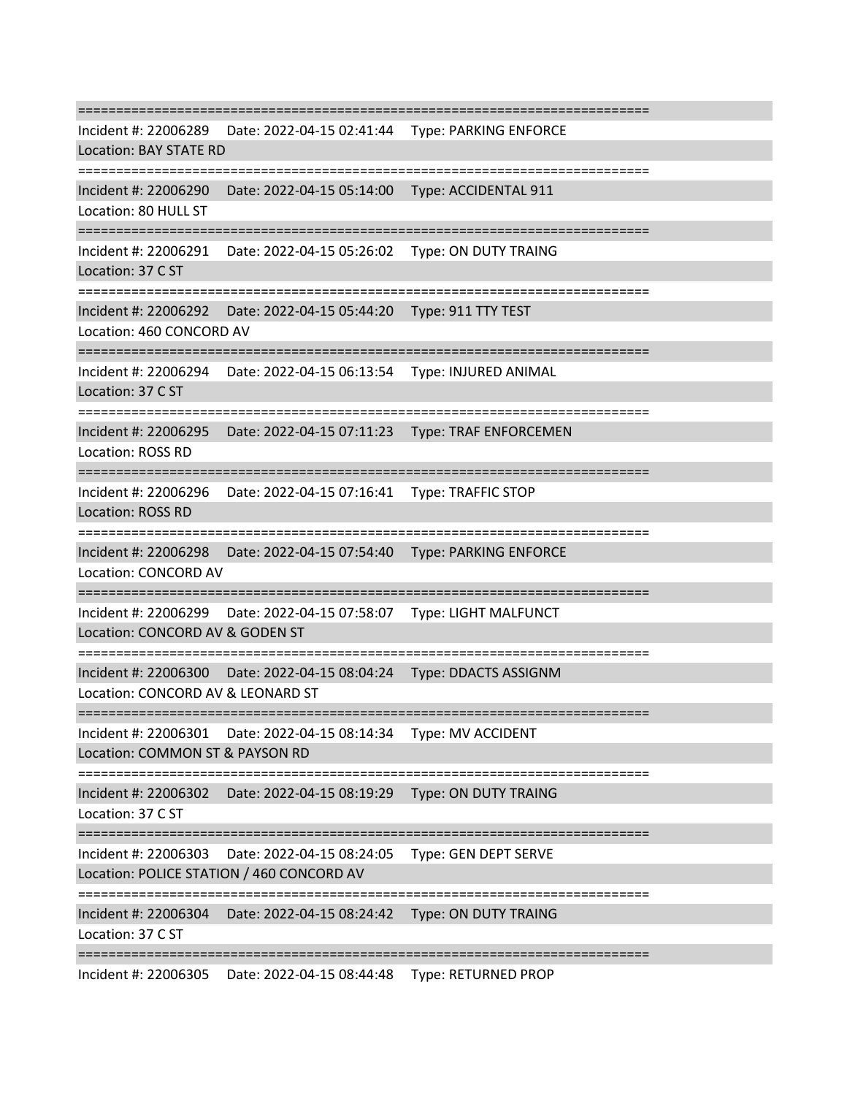=========================================================================== Incident #: 22006289 Date: 2022-04-15 02:41:44 Type: PARKING ENFORCE Location: BAY STATE RD =========================================================================== Incident #: 22006290 Date: 2022-04-15 05:14:00 Type: ACCIDENTAL 911 Location: 80 HULL ST =========================================================================== Incident #: 22006291 Date: 2022-04-15 05:26:02 Type: ON DUTY TRAING Location: 37 C ST =========================================================================== Incident #: 22006292 Date: 2022-04-15 05:44:20 Type: 911 TTY TEST Location: 460 CONCORD AV =========================================================================== Incident #: 22006294 Date: 2022-04-15 06:13:54 Type: INJURED ANIMAL Location: 37 C ST =========================================================================== Incident #: 22006295 Date: 2022-04-15 07:11:23 Type: TRAF ENFORCEMEN Location: ROSS RD =========================================================================== Incident #: 22006296 Date: 2022-04-15 07:16:41 Type: TRAFFIC STOP Location: ROSS RD =========================================================================== Incident #: 22006298 Date: 2022-04-15 07:54:40 Type: PARKING ENFORCE Location: CONCORD AV =========================================================================== Incident #: 22006299 Date: 2022-04-15 07:58:07 Type: LIGHT MALFUNCT Location: CONCORD AV & GODEN ST =========================================================================== Incident #: 22006300 Date: 2022-04-15 08:04:24 Type: DDACTS ASSIGNM Location: CONCORD AV & LEONARD ST =========================================================================== Incident #: 22006301 Date: 2022-04-15 08:14:34 Type: MV ACCIDENT Location: COMMON ST & PAYSON RD =========================================================================== Incident #: 22006302 Date: 2022-04-15 08:19:29 Type: ON DUTY TRAING Location: 37 C ST =========================================================================== Incident #: 22006303 Date: 2022-04-15 08:24:05 Type: GEN DEPT SERVE Location: POLICE STATION / 460 CONCORD AV =========================================================================== Incident #: 22006304 Date: 2022-04-15 08:24:42 Type: ON DUTY TRAING Location: 37 C ST =========================================================================== Incident #: 22006305 Date: 2022-04-15 08:44:48 Type: RETURNED PROP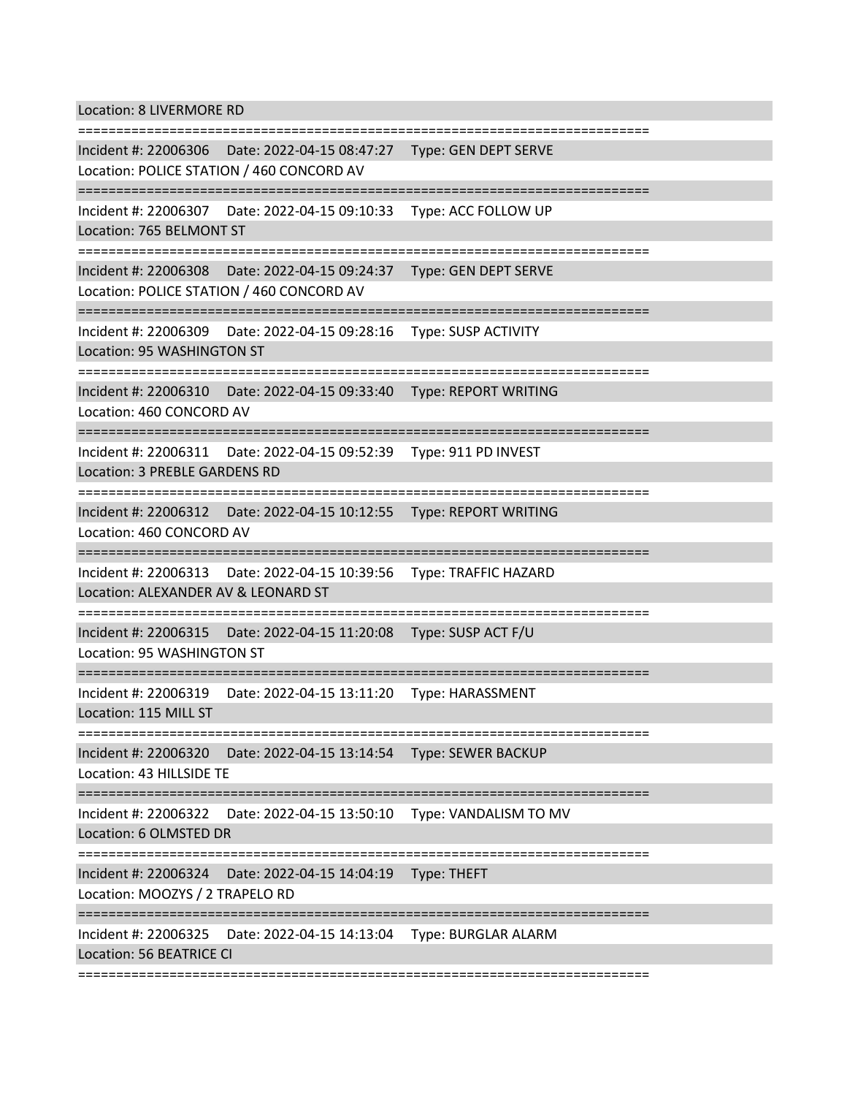Location: 8 LIVERMORE RD

=========================================================================== Incident #: 22006306 Date: 2022-04-15 08:47:27 Type: GEN DEPT SERVE Location: POLICE STATION / 460 CONCORD AV =========================================================================== Incident #: 22006307 Date: 2022-04-15 09:10:33 Type: ACC FOLLOW UP Location: 765 BELMONT ST =========================================================================== Incident #: 22006308 Date: 2022-04-15 09:24:37 Type: GEN DEPT SERVE Location: POLICE STATION / 460 CONCORD AV =========================================================================== Incident #: 22006309 Date: 2022-04-15 09:28:16 Type: SUSP ACTIVITY Location: 95 WASHINGTON ST =========================================================================== Incident #: 22006310 Date: 2022-04-15 09:33:40 Type: REPORT WRITING Location: 460 CONCORD AV =========================================================================== Incident #: 22006311 Date: 2022-04-15 09:52:39 Type: 911 PD INVEST Location: 3 PREBLE GARDENS RD =========================================================================== Incident #: 22006312 Date: 2022-04-15 10:12:55 Type: REPORT WRITING Location: 460 CONCORD AV =========================================================================== Incident #: 22006313 Date: 2022-04-15 10:39:56 Type: TRAFFIC HAZARD Location: ALEXANDER AV & LEONARD ST =========================================================================== Incident #: 22006315 Date: 2022-04-15 11:20:08 Type: SUSP ACT F/U Location: 95 WASHINGTON ST =========================================================================== Incident #: 22006319 Date: 2022-04-15 13:11:20 Type: HARASSMENT Location: 115 MILL ST =========================================================================== Incident #: 22006320 Date: 2022-04-15 13:14:54 Type: SEWER BACKUP Location: 43 HILLSIDE TE =========================================================================== Incident #: 22006322 Date: 2022-04-15 13:50:10 Type: VANDALISM TO MV Location: 6 OLMSTED DR =========================================================================== Incident #: 22006324 Date: 2022-04-15 14:04:19 Type: THEFT Location: MOOZYS / 2 TRAPELO RD =========================================================================== Incident #: 22006325 Date: 2022-04-15 14:13:04 Type: BURGLAR ALARM Location: 56 BEATRICE CI ===========================================================================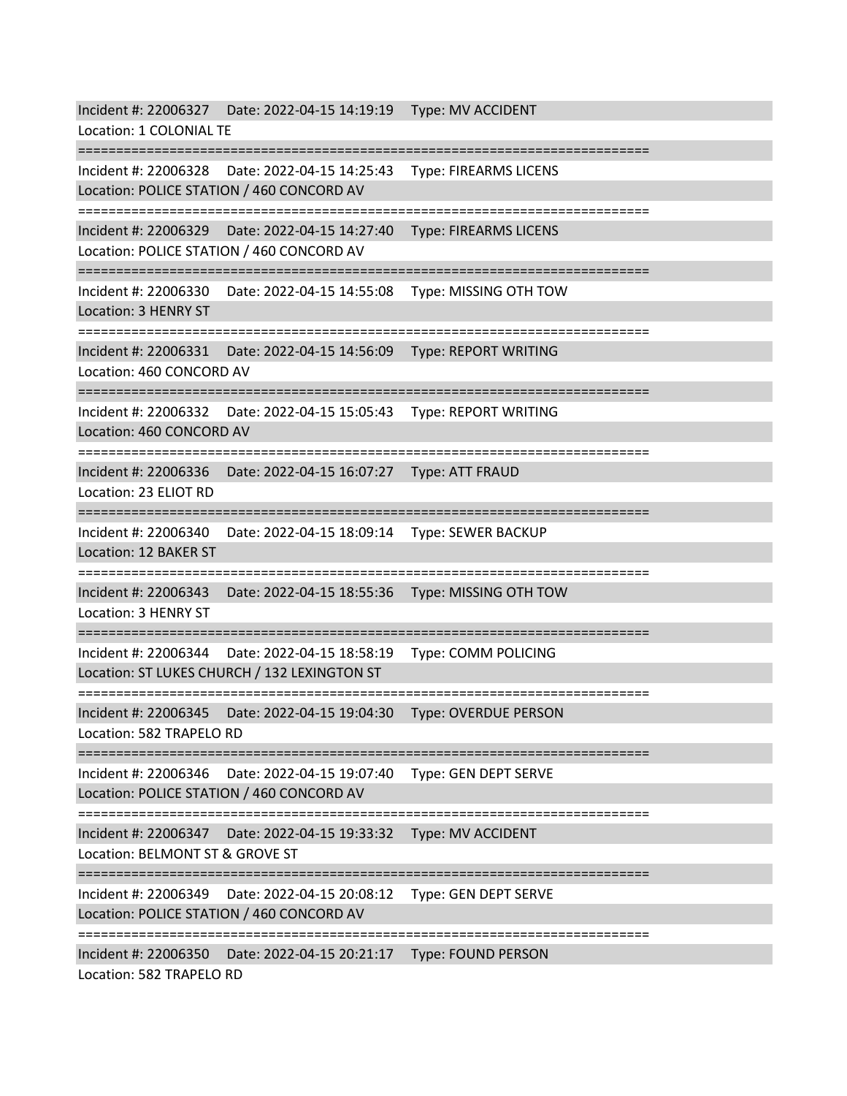Incident #: 22006327 Date: 2022-04-15 14:19:19 Type: MV ACCIDENT Location: 1 COLONIAL TE =========================================================================== Incident #: 22006328 Date: 2022-04-15 14:25:43 Type: FIREARMS LICENS Location: POLICE STATION / 460 CONCORD AV =========================================================================== Incident #: 22006329 Date: 2022-04-15 14:27:40 Type: FIREARMS LICENS Location: POLICE STATION / 460 CONCORD AV =========================================================================== Incident #: 22006330 Date: 2022-04-15 14:55:08 Type: MISSING OTH TOW Location: 3 HENRY ST =========================================================================== Incident #: 22006331 Date: 2022-04-15 14:56:09 Type: REPORT WRITING Location: 460 CONCORD AV =========================================================================== Incident #: 22006332 Date: 2022-04-15 15:05:43 Type: REPORT WRITING Location: 460 CONCORD AV =========================================================================== Incident #: 22006336 Date: 2022-04-15 16:07:27 Type: ATT FRAUD Location: 23 ELIOT RD =========================================================================== Incident #: 22006340 Date: 2022-04-15 18:09:14 Type: SEWER BACKUP Location: 12 BAKER ST =========================================================================== Incident #: 22006343 Date: 2022-04-15 18:55:36 Type: MISSING OTH TOW Location: 3 HENRY ST =========================================================================== Incident #: 22006344 Date: 2022-04-15 18:58:19 Type: COMM POLICING Location: ST LUKES CHURCH / 132 LEXINGTON ST =========================================================================== Incident #: 22006345 Date: 2022-04-15 19:04:30 Type: OVERDUE PERSON Location: 582 TRAPELO RD =========================================================================== Incident #: 22006346 Date: 2022-04-15 19:07:40 Type: GEN DEPT SERVE Location: POLICE STATION / 460 CONCORD AV =========================================================================== Incident #: 22006347 Date: 2022-04-15 19:33:32 Type: MV ACCIDENT Location: BELMONT ST & GROVE ST =========================================================================== Incident #: 22006349 Date: 2022-04-15 20:08:12 Type: GEN DEPT SERVE Location: POLICE STATION / 460 CONCORD AV =========================================================================== Incident #: 22006350 Date: 2022-04-15 20:21:17 Type: FOUND PERSON Location: 582 TRAPELO RD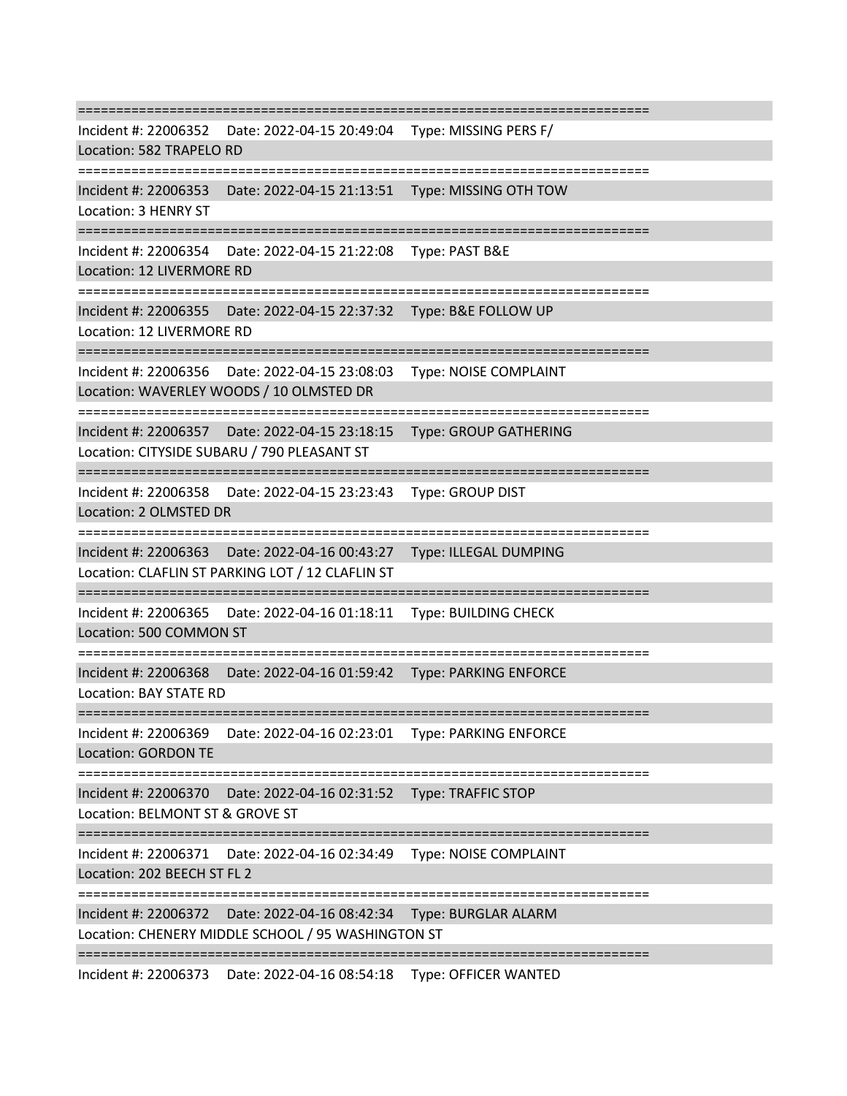=========================================================================== Incident #: 22006352 Date: 2022-04-15 20:49:04 Type: MISSING PERS F/ Location: 582 TRAPELO RD =========================================================================== Incident #: 22006353 Date: 2022-04-15 21:13:51 Type: MISSING OTH TOW Location: 3 HENRY ST =========================================================================== Incident #: 22006354 Date: 2022-04-15 21:22:08 Type: PAST B&E Location: 12 LIVERMORE RD =========================================================================== Incident #: 22006355 Date: 2022-04-15 22:37:32 Type: B&E FOLLOW UP Location: 12 LIVERMORE RD =========================================================================== Incident #: 22006356 Date: 2022-04-15 23:08:03 Type: NOISE COMPLAINT Location: WAVERLEY WOODS / 10 OLMSTED DR =========================================================================== Incident #: 22006357 Date: 2022-04-15 23:18:15 Type: GROUP GATHERING Location: CITYSIDE SUBARU / 790 PLEASANT ST =========================================================================== Incident #: 22006358 Date: 2022-04-15 23:23:43 Type: GROUP DIST Location: 2 OLMSTED DR =========================================================================== Incident #: 22006363 Date: 2022-04-16 00:43:27 Type: ILLEGAL DUMPING Location: CLAFLIN ST PARKING LOT / 12 CLAFLIN ST =========================================================================== Incident #: 22006365 Date: 2022-04-16 01:18:11 Type: BUILDING CHECK Location: 500 COMMON ST =========================================================================== Incident #: 22006368 Date: 2022-04-16 01:59:42 Type: PARKING ENFORCE Location: BAY STATE RD =========================================================================== Incident #: 22006369 Date: 2022-04-16 02:23:01 Type: PARKING ENFORCE Location: GORDON TE =========================================================================== Incident #: 22006370 Date: 2022-04-16 02:31:52 Type: TRAFFIC STOP Location: BELMONT ST & GROVE ST =========================================================================== Incident #: 22006371 Date: 2022-04-16 02:34:49 Type: NOISE COMPLAINT Location: 202 BEECH ST FL 2 =========================================================================== Incident #: 22006372 Date: 2022-04-16 08:42:34 Type: BURGLAR ALARM Location: CHENERY MIDDLE SCHOOL / 95 WASHINGTON ST ===========================================================================

Incident #: 22006373 Date: 2022-04-16 08:54:18 Type: OFFICER WANTED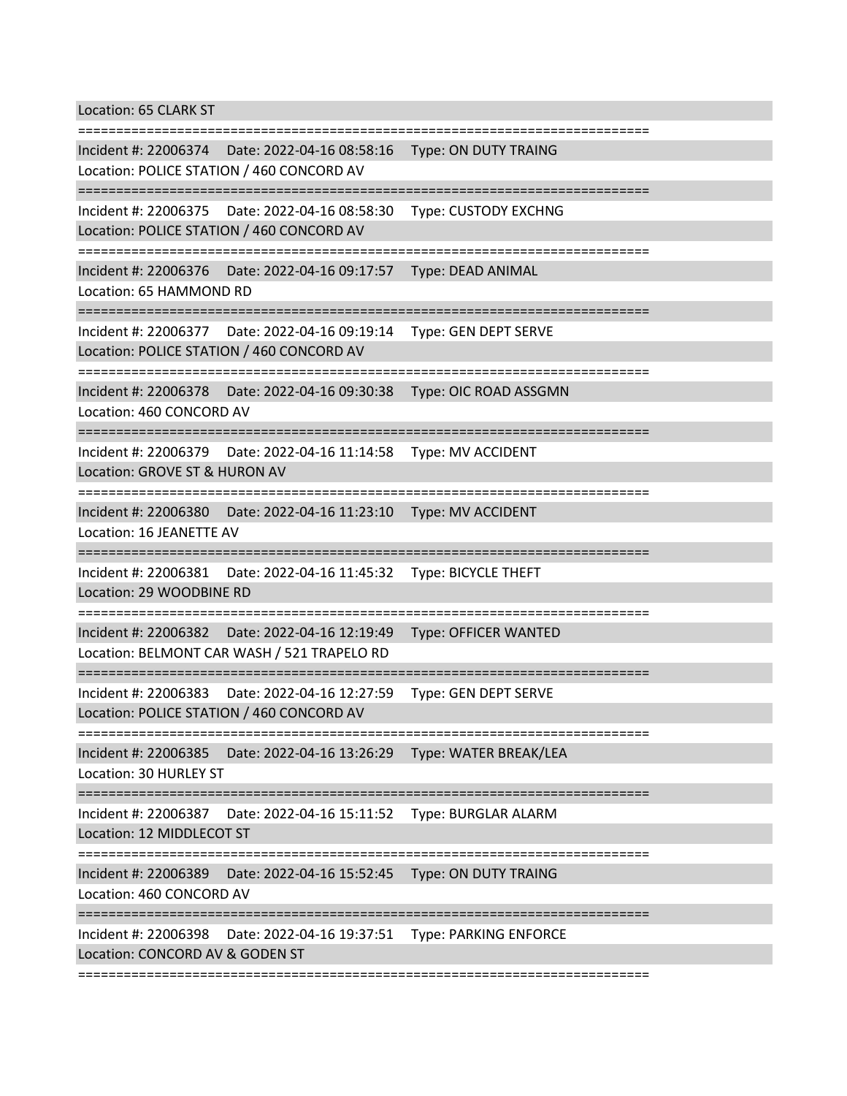Location: 65 CLARK ST

=========================================================================== Incident #: 22006374 Date: 2022-04-16 08:58:16 Type: ON DUTY TRAING Location: POLICE STATION / 460 CONCORD AV =========================================================================== Incident #: 22006375 Date: 2022-04-16 08:58:30 Type: CUSTODY EXCHNG Location: POLICE STATION / 460 CONCORD AV =========================================================================== Incident #: 22006376 Date: 2022-04-16 09:17:57 Type: DEAD ANIMAL Location: 65 HAMMOND RD =========================================================================== Incident #: 22006377 Date: 2022-04-16 09:19:14 Type: GEN DEPT SERVE Location: POLICE STATION / 460 CONCORD AV =========================================================================== Incident #: 22006378 Date: 2022-04-16 09:30:38 Type: OIC ROAD ASSGMN Location: 460 CONCORD AV =========================================================================== Incident #: 22006379 Date: 2022-04-16 11:14:58 Type: MV ACCIDENT Location: GROVE ST & HURON AV =========================================================================== Incident #: 22006380 Date: 2022-04-16 11:23:10 Type: MV ACCIDENT Location: 16 JEANETTE AV =========================================================================== Incident #: 22006381 Date: 2022-04-16 11:45:32 Type: BICYCLE THEFT Location: 29 WOODBINE RD =========================================================================== Incident #: 22006382 Date: 2022-04-16 12:19:49 Type: OFFICER WANTED Location: BELMONT CAR WASH / 521 TRAPELO RD =========================================================================== Incident #: 22006383 Date: 2022-04-16 12:27:59 Type: GEN DEPT SERVE Location: POLICE STATION / 460 CONCORD AV =========================================================================== Incident #: 22006385 Date: 2022-04-16 13:26:29 Type: WATER BREAK/LEA Location: 30 HURLEY ST =========================================================================== Incident #: 22006387 Date: 2022-04-16 15:11:52 Type: BURGLAR ALARM Location: 12 MIDDLECOT ST =========================================================================== Incident #: 22006389 Date: 2022-04-16 15:52:45 Type: ON DUTY TRAING Location: 460 CONCORD AV =========================================================================== Incident #: 22006398 Date: 2022-04-16 19:37:51 Type: PARKING ENFORCE Location: CONCORD AV & GODEN ST

===========================================================================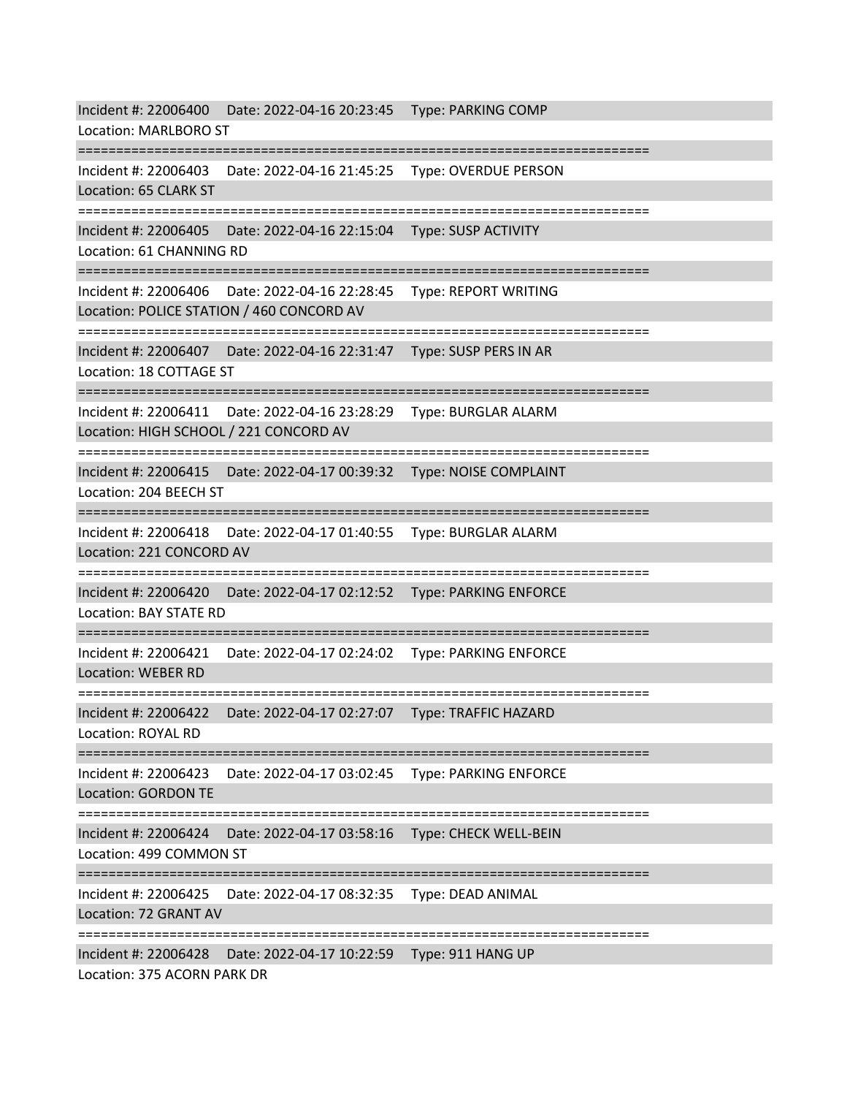Incident #: 22006400 Date: 2022-04-16 20:23:45 Type: PARKING COMP Location: MARLBORO ST =========================================================================== Incident #: 22006403 Date: 2022-04-16 21:45:25 Type: OVERDUE PERSON Location: 65 CLARK ST =========================================================================== Incident #: 22006405 Date: 2022-04-16 22:15:04 Type: SUSP ACTIVITY Location: 61 CHANNING RD =========================================================================== Incident #: 22006406 Date: 2022-04-16 22:28:45 Type: REPORT WRITING Location: POLICE STATION / 460 CONCORD AV =========================================================================== Incident #: 22006407 Date: 2022-04-16 22:31:47 Type: SUSP PERS IN AR Location: 18 COTTAGE ST =========================================================================== Incident #: 22006411 Date: 2022-04-16 23:28:29 Type: BURGLAR ALARM Location: HIGH SCHOOL / 221 CONCORD AV =========================================================================== Incident #: 22006415 Date: 2022-04-17 00:39:32 Type: NOISE COMPLAINT Location: 204 BEECH ST =========================================================================== Incident #: 22006418 Date: 2022-04-17 01:40:55 Type: BURGLAR ALARM Location: 221 CONCORD AV =========================================================================== Incident #: 22006420 Date: 2022-04-17 02:12:52 Type: PARKING ENFORCE Location: BAY STATE RD =========================================================================== Incident #: 22006421 Date: 2022-04-17 02:24:02 Type: PARKING ENFORCE Location: WEBER RD =========================================================================== Incident #: 22006422 Date: 2022-04-17 02:27:07 Type: TRAFFIC HAZARD Location: ROYAL RD =========================================================================== Incident #: 22006423 Date: 2022-04-17 03:02:45 Type: PARKING ENFORCE Location: GORDON TE =========================================================================== Incident #: 22006424 Date: 2022-04-17 03:58:16 Type: CHECK WELL-BEIN Location: 499 COMMON ST =========================================================================== Incident #: 22006425 Date: 2022-04-17 08:32:35 Type: DEAD ANIMAL Location: 72 GRANT AV =========================================================================== Incident #: 22006428 Date: 2022-04-17 10:22:59 Type: 911 HANG UP Location: 375 ACORN PARK DR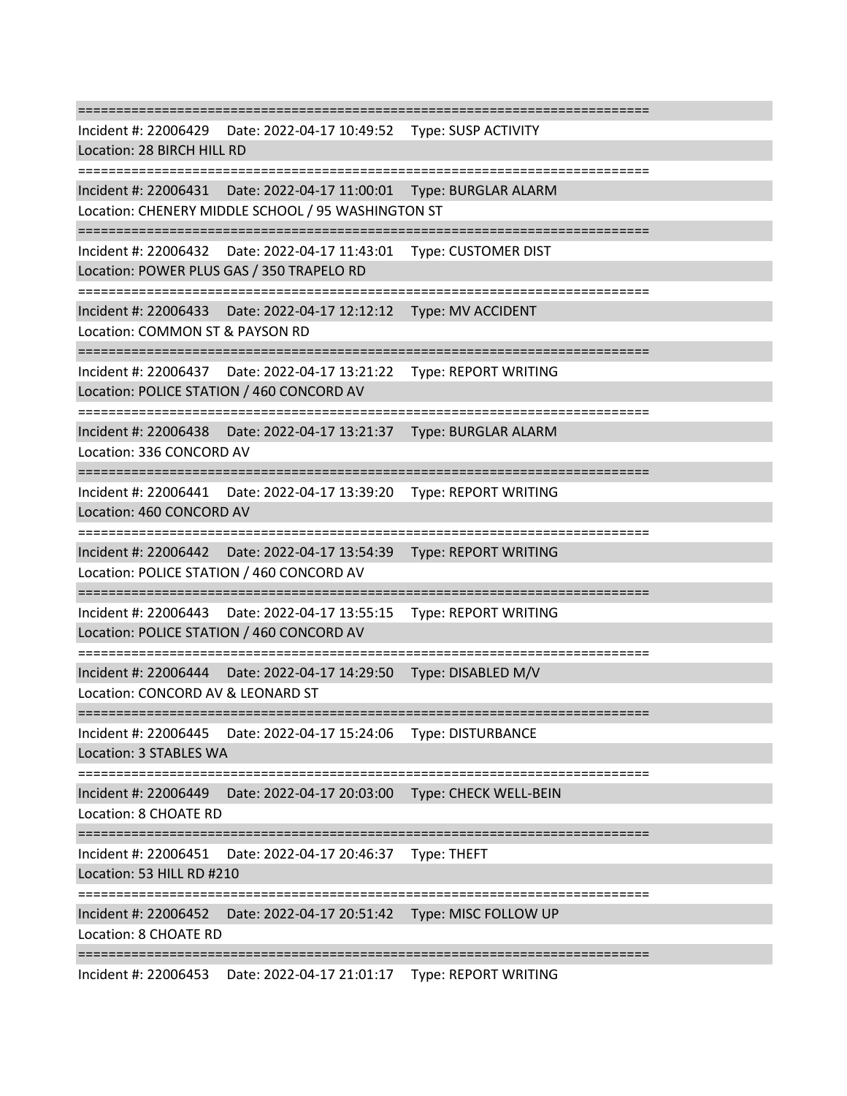=========================================================================== Incident #: 22006429 Date: 2022-04-17 10:49:52 Type: SUSP ACTIVITY Location: 28 BIRCH HILL RD =========================================================================== Incident #: 22006431 Date: 2022-04-17 11:00:01 Type: BURGLAR ALARM Location: CHENERY MIDDLE SCHOOL / 95 WASHINGTON ST =========================================================================== Incident #: 22006432 Date: 2022-04-17 11:43:01 Type: CUSTOMER DIST Location: POWER PLUS GAS / 350 TRAPELO RD =========================================================================== Incident #: 22006433 Date: 2022-04-17 12:12:12 Type: MV ACCIDENT Location: COMMON ST & PAYSON RD =========================================================================== Incident #: 22006437 Date: 2022-04-17 13:21:22 Type: REPORT WRITING Location: POLICE STATION / 460 CONCORD AV =========================================================================== Incident #: 22006438 Date: 2022-04-17 13:21:37 Type: BURGLAR ALARM Location: 336 CONCORD AV =========================================================================== Incident #: 22006441 Date: 2022-04-17 13:39:20 Type: REPORT WRITING Location: 460 CONCORD AV =========================================================================== Incident #: 22006442 Date: 2022-04-17 13:54:39 Type: REPORT WRITING Location: POLICE STATION / 460 CONCORD AV =========================================================================== Incident #: 22006443 Date: 2022-04-17 13:55:15 Type: REPORT WRITING Location: POLICE STATION / 460 CONCORD AV =========================================================================== Incident #: 22006444 Date: 2022-04-17 14:29:50 Type: DISABLED M/V Location: CONCORD AV & LEONARD ST =========================================================================== Incident #: 22006445 Date: 2022-04-17 15:24:06 Type: DISTURBANCE Location: 3 STABLES WA =========================================================================== Incident #: 22006449 Date: 2022-04-17 20:03:00 Type: CHECK WELL-BEIN Location: 8 CHOATE RD =========================================================================== Incident #: 22006451 Date: 2022-04-17 20:46:37 Type: THEFT Location: 53 HILL RD #210 =========================================================================== Incident #: 22006452 Date: 2022-04-17 20:51:42 Type: MISC FOLLOW UP Location: 8 CHOATE RD =========================================================================== Incident #: 22006453 Date: 2022-04-17 21:01:17 Type: REPORT WRITING